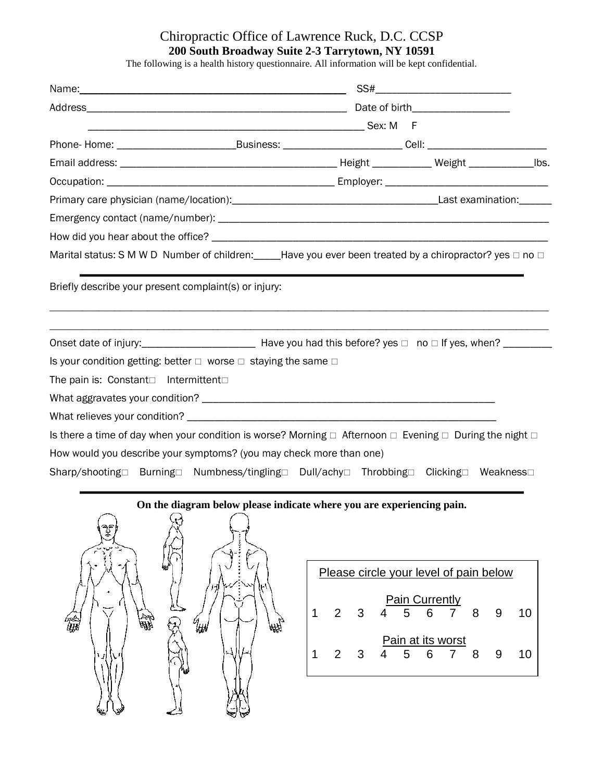## Chiropractic Office of Lawrence Ruck, D.C. CCSP **200 South Broadway Suite 2-3 Tarrytown, NY 10591**

The following is a health history questionnaire. All information will be kept confidential.

|                                                                                                                             |  | SS#_______________________________ |  |
|-----------------------------------------------------------------------------------------------------------------------------|--|------------------------------------|--|
|                                                                                                                             |  |                                    |  |
|                                                                                                                             |  |                                    |  |
| Phone-Home: ________________________________Business: ____________________________Cell: ______________________              |  |                                    |  |
|                                                                                                                             |  |                                    |  |
|                                                                                                                             |  |                                    |  |
|                                                                                                                             |  |                                    |  |
|                                                                                                                             |  |                                    |  |
|                                                                                                                             |  |                                    |  |
| Marital status: S M W D Number of children: Let all ave you ever been treated by a chiropractor? yes $\Box$ no $\Box$       |  |                                    |  |
|                                                                                                                             |  |                                    |  |
|                                                                                                                             |  |                                    |  |
| Is your condition getting: better $\Box$ worse $\Box$ staying the same $\Box$                                               |  |                                    |  |
| The pain is: Constant□ Intermittent□                                                                                        |  |                                    |  |
|                                                                                                                             |  |                                    |  |
|                                                                                                                             |  |                                    |  |
| Is there a time of day when your condition is worse? Morning $\Box$ Afternoon $\Box$ Evening $\Box$ During the night $\Box$ |  |                                    |  |
| How would you describe your symptoms? (you may check more than one)                                                         |  |                                    |  |
| Sharp/shooting□ Burning□ Numbness/tingling□ Dull/achy□ Throbbing□ Clicking□ Weakness□                                       |  |                                    |  |



| Please circle your level of pain below |   |     |                       |     |                |  |
|----------------------------------------|---|-----|-----------------------|-----|----------------|--|
|                                        | 3 | 4 5 | <b>Pain Currently</b> | 6 7 | 8 <sup>8</sup> |  |
|                                        | 3 | 4 5 | Pain at its worst     | 6 7 | 8              |  |